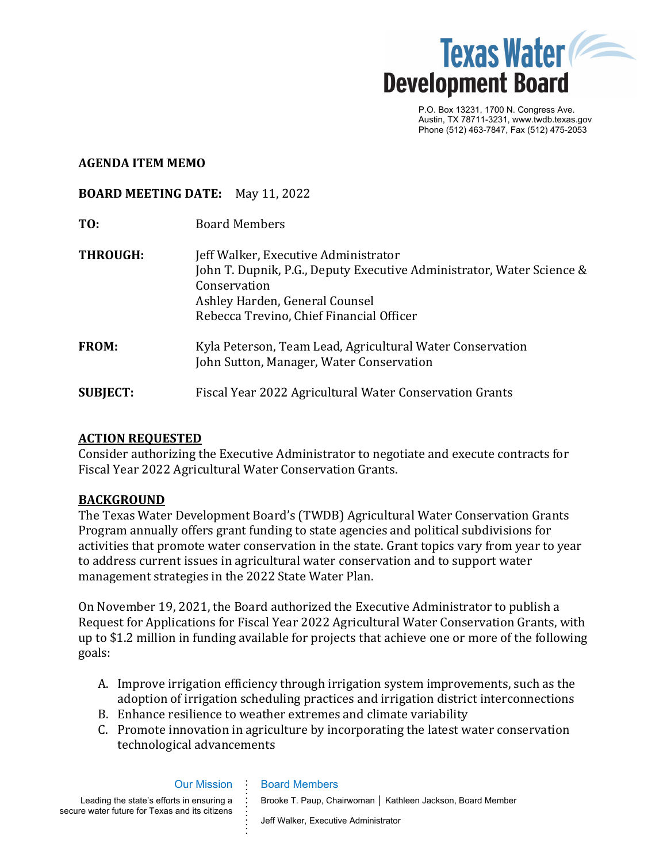

P.O. Box 13231, 1700 N. Congress Ave. Austin, TX 78711-3231, www.twdb.texas.gov Phone (512) 463-7847, Fax (512) 475-2053

### **AGENDA ITEM MEMO**

### **BOARD MEETING DATE:** May 11, 2022

- **TO:** Board Members
- **THROUGH:** Jeff Walker, Executive Administrator John T. Dupnik, P.G., Deputy Executive Administrator, Water Science & Conservation Ashley Harden, General Counsel Rebecca Trevino, Chief Financial Officer **FROM:** Kyla Peterson, Team Lead, Agricultural Water Conservation John Sutton, Manager, Water Conservation **SUBJECT:** Fiscal Year 2022 Agricultural Water Conservation Grants

### **ACTION REQUESTED**

Consider authorizing the Executive Administrator to negotiate and execute contracts for Fiscal Year 2022 Agricultural Water Conservation Grants.

#### **BACKGROUND**

The Texas Water Development Board's (TWDB) Agricultural Water Conservation Grants Program annually offers grant funding to state agencies and political subdivisions for activities that promote water conservation in the state. Grant topics vary from year to year to address current issues in agricultural water conservation and to support water management strategies in the 2022 State Water Plan.

On November 19, 2021, the Board authorized the Executive Administrator to publish a Request for Applications for Fiscal Year 2022 Agricultural Water Conservation Grants, with up to \$1.2 million in funding available for projects that achieve one or more of the following goals:

- A. Improve irrigation efficiency through irrigation system improvements, such as the adoption of irrigation scheduling practices and irrigation district interconnections
- B. Enhance resilience to weather extremes and climate variability
- C. Promote innovation in agriculture by incorporating the latest water conservation technological advancements

Leading the state's efforts in ensuring a secure water future for Texas and its citizens

Our Mission

**. . . . . . . . . . . . .** 

#### Board Members

Brooke T. Paup, Chairwoman │ Kathleen Jackson, Board Member

Jeff Walker, Executive Administrator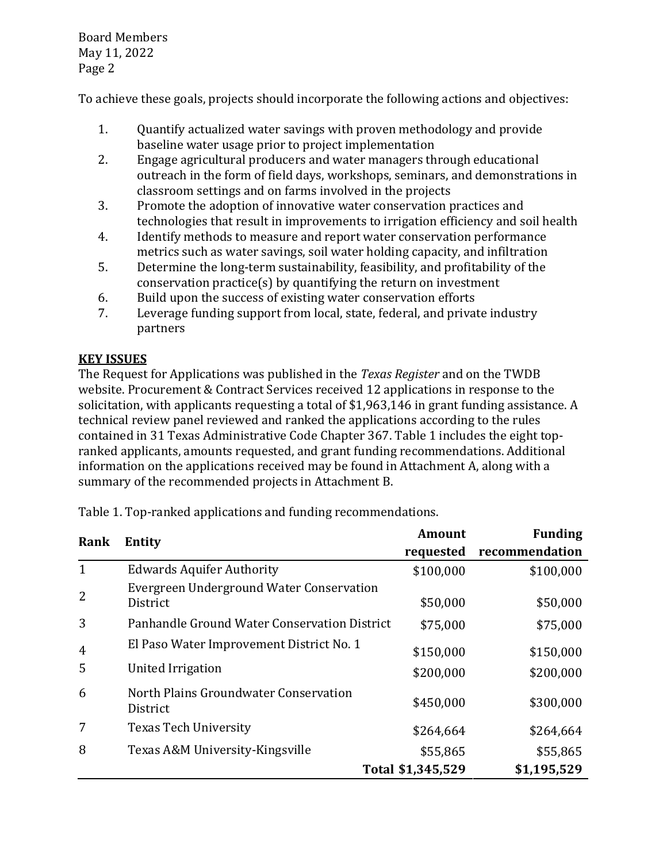Board Members May 11, 2022 Page 2

To achieve these goals, projects should incorporate the following actions and objectives:

- 1. Quantify actualized water savings with proven methodology and provide baseline water usage prior to project implementation
- 2. Engage agricultural producers and water managers through educational outreach in the form of field days, workshops, seminars, and demonstrations in classroom settings and on farms involved in the projects
- 3. Promote the adoption of innovative water conservation practices and technologies that result in improvements to irrigation efficiency and soil health
- 4. Identify methods to measure and report water conservation performance metrics such as water savings, soil water holding capacity, and infiltration
- 5. Determine the long-term sustainability, feasibility, and profitability of the conservation practice(s) by quantifying the return on investment
- 6. Build upon the success of existing water conservation efforts<br>7. Leverage funding support from local, state, federal, and privat
- Leverage funding support from local, state, federal, and private industry partners

# **KEY ISSUES**

The Request for Applications was published in the *Texas Register* and on the TWDB website. Procurement & Contract Services received 12 applications in response to the solicitation, with applicants requesting a total of \$1,963,146 in grant funding assistance. A technical review panel reviewed and ranked the applications according to the rules contained in 31 Texas Administrative Code Chapter 367. Table 1 includes the eight topranked applicants, amounts requested, and grant funding recommendations. Additional information on the applications received may be found in Attachment A, along with a summary of the recommended projects in Attachment B.

| Rank | <b>Entity</b>                                            | <b>Amount</b>     | <b>Funding</b> |
|------|----------------------------------------------------------|-------------------|----------------|
|      |                                                          | requested         | recommendation |
|      | <b>Edwards Aquifer Authority</b>                         | \$100,000         | \$100,000      |
|      | Evergreen Underground Water Conservation<br>District     | \$50,000          | \$50,000       |
| 3    | Panhandle Ground Water Conservation District             | \$75,000          | \$75,000       |
| 4    | El Paso Water Improvement District No. 1                 | \$150,000         | \$150,000      |
| 5    | United Irrigation                                        | \$200,000         | \$200,000      |
| 6    | North Plains Groundwater Conservation<br><b>District</b> | \$450,000         | \$300,000      |
| 7    | <b>Texas Tech University</b>                             | \$264,664         | \$264,664      |
| 8    | Texas A&M University-Kingsville                          | \$55,865          | \$55,865       |
|      |                                                          | Total \$1,345,529 | \$1,195,529    |

Table 1. Top-ranked applications and funding recommendations.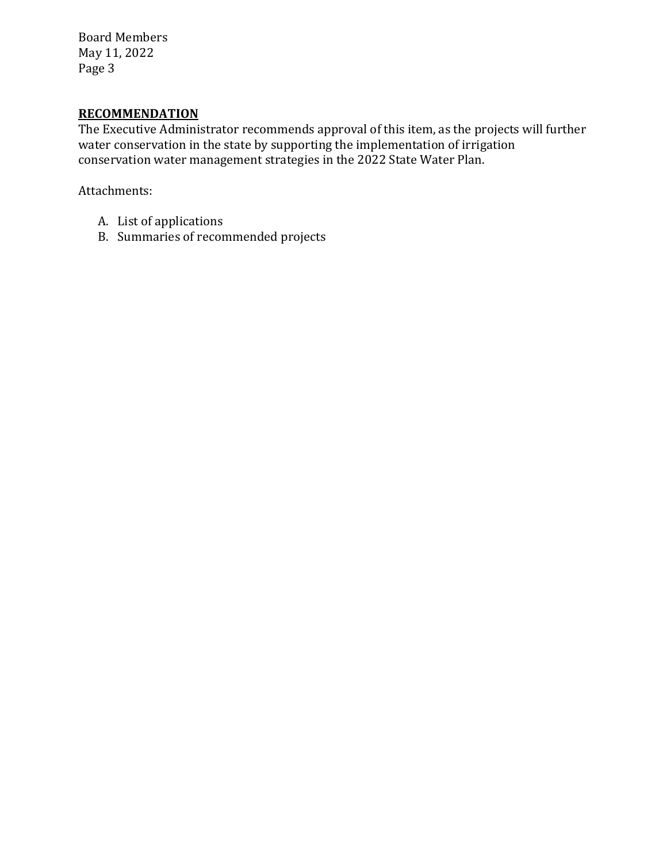Board Members May 11, 2022 Page 3

# **RECOMMENDATION**

The Executive Administrator recommends approval of this item, as the projects will further water conservation in the state by supporting the implementation of irrigation conservation water management strategies in the 2022 State Water Plan.

Attachments:

- A. List of applications
- B. Summaries of recommended projects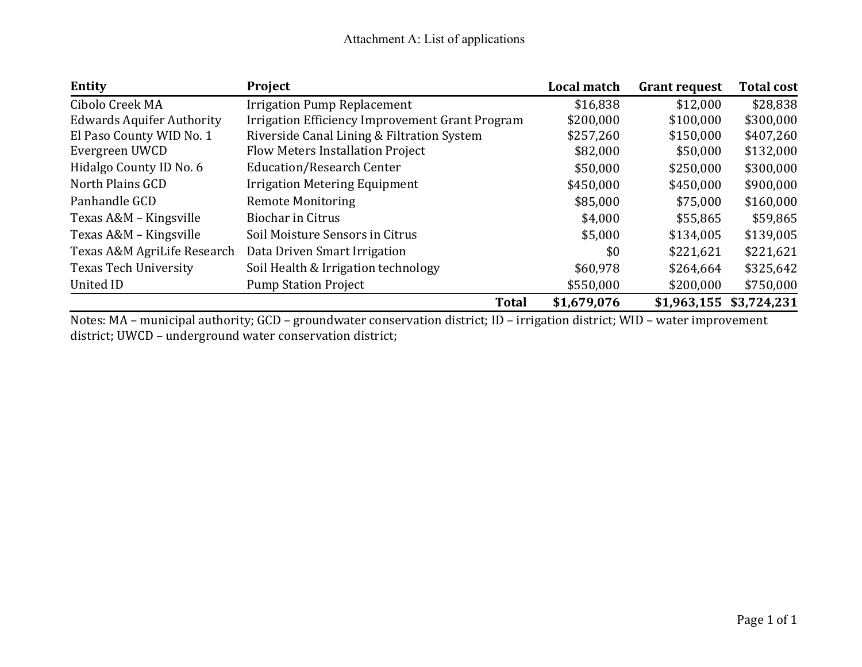| Entity                           | Project                                         | Local match | <b>Grant request</b> | <b>Total cost</b>       |
|----------------------------------|-------------------------------------------------|-------------|----------------------|-------------------------|
| Cibolo Creek MA                  | <b>Irrigation Pump Replacement</b>              | \$16,838    | \$12,000             | \$28,838                |
| <b>Edwards Aquifer Authority</b> | Irrigation Efficiency Improvement Grant Program | \$200,000   | \$100,000            | \$300,000               |
| El Paso County WID No. 1         | Riverside Canal Lining & Filtration System      | \$257,260   | \$150,000            | \$407,260               |
| Evergreen UWCD                   | <b>Flow Meters Installation Project</b>         | \$82,000    | \$50,000             | \$132,000               |
| Hidalgo County ID No. 6          | <b>Education/Research Center</b>                | \$50,000    | \$250,000            | \$300,000               |
| North Plains GCD                 | <b>Irrigation Metering Equipment</b>            | \$450,000   | \$450,000            | \$900,000               |
| Panhandle GCD                    | <b>Remote Monitoring</b>                        | \$85,000    | \$75,000             | \$160,000               |
| Texas A&M - Kingsville           | <b>Biochar in Citrus</b>                        | \$4,000     | \$55,865             | \$59,865                |
| Texas A&M - Kingsville           | Soil Moisture Sensors in Citrus                 | \$5,000     | \$134,005            | \$139,005               |
| Texas A&M AgriLife Research      | Data Driven Smart Irrigation                    | \$0         | \$221,621            | \$221,621               |
| <b>Texas Tech University</b>     | Soil Health & Irrigation technology             | \$60,978    | \$264,664            | \$325,642               |
| United ID                        | <b>Pump Station Project</b>                     | \$550,000   | \$200,000            | \$750,000               |
|                                  | <b>Total</b>                                    | \$1,679,076 |                      | \$1,963,155 \$3,724,231 |

Notes: MA – municipal authority; GCD – groundwater conservation district; ID – irrigation district; WID – water improvement district; UWCD – underground water conservation district;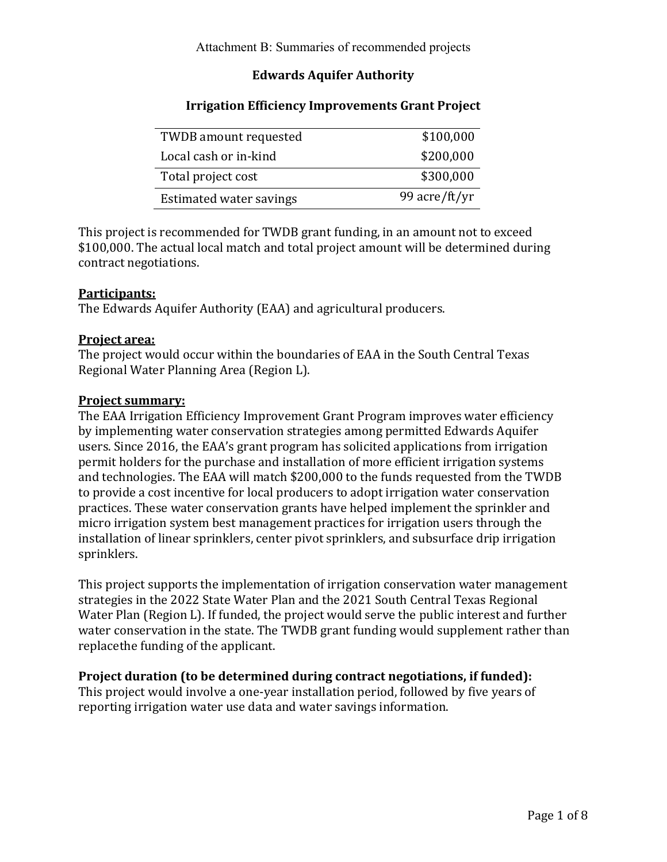# **Edwards Aquifer Authority**

| <b>TWDB</b> amount requested | \$100,000     |
|------------------------------|---------------|
| Local cash or in-kind        | \$200,000     |
| Total project cost           | \$300,000     |
| Estimated water savings      | 99 acre/ft/yr |

## **Irrigation Efficiency Improvements Grant Project**

This project is recommended for TWDB grant funding, in an amount not to exceed \$100,000. The actual local match and total project amount will be determined during contract negotiations.

### **Participants:**

The Edwards Aquifer Authority (EAA) and agricultural producers.

### **Project area:**

The project would occur within the boundaries of EAA in the South Central Texas Regional Water Planning Area (Region L).

### **Project summary:**

The EAA Irrigation Efficiency Improvement Grant Program improves water efficiency by implementing water conservation strategies among permitted Edwards Aquifer users. Since 2016, the EAA's grant program has solicited applications from irrigation permit holders for the purchase and installation of more efficient irrigation systems and technologies. The EAA will match \$200,000 to the funds requested from the TWDB to provide a cost incentive for local producers to adopt irrigation water conservation practices. These water conservation grants have helped implement the sprinkler and micro irrigation system best management practices for irrigation users through the installation of linear sprinklers, center pivot sprinklers, and subsurface drip irrigation sprinklers.

This project supports the implementation of irrigation conservation water management strategies in the 2022 State Water Plan and the 2021 South Central Texas Regional Water Plan (Region L). If funded, the project would serve the public interest and further water conservation in the state. The TWDB grant funding would supplement rather than replacethe funding of the applicant.

### **Project duration (to be determined during contract negotiations, if funded):**

This project would involve a one-year installation period, followed by five years of reporting irrigation water use data and water savings information.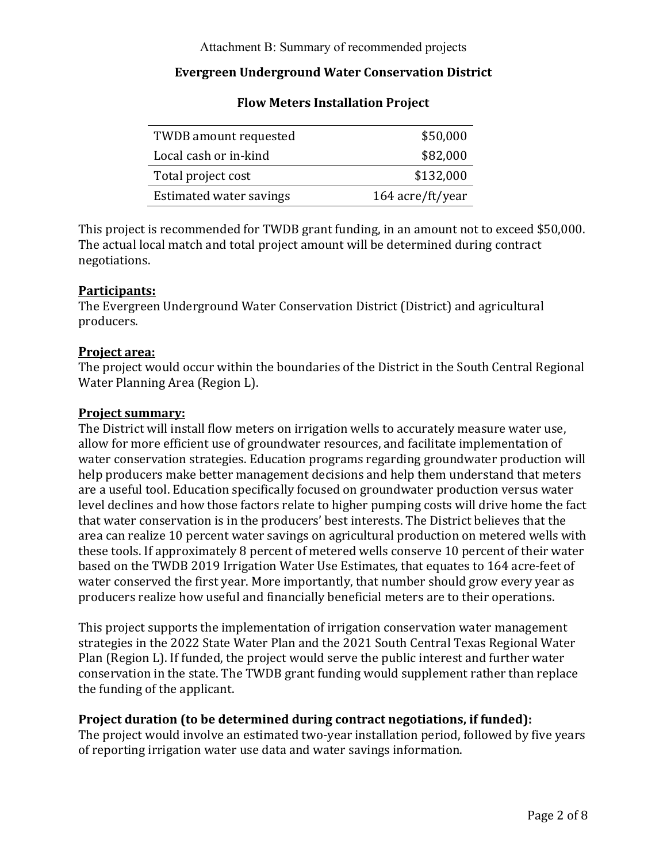## **Evergreen Underground Water Conservation District**

| <b>TWDB</b> amount requested | \$50,000         |
|------------------------------|------------------|
| Local cash or in-kind        | \$82,000         |
| Total project cost           | \$132,000        |
| Estimated water savings      | 164 acre/ft/year |

### **Flow Meters Installation Project**

This project is recommended for TWDB grant funding, in an amount not to exceed \$50,000. The actual local match and total project amount will be determined during contract negotiations.

### **Participants:**

The Evergreen Underground Water Conservation District (District) and agricultural producers.

### **Project area:**

The project would occur within the boundaries of the District in the South Central Regional Water Planning Area (Region L).

#### **Project summary:**

The District will install flow meters on irrigation wells to accurately measure water use, allow for more efficient use of groundwater resources, and facilitate implementation of water conservation strategies. Education programs regarding groundwater production will help producers make better management decisions and help them understand that meters are a useful tool. Education specifically focused on groundwater production versus water level declines and how those factors relate to higher pumping costs will drive home the fact that water conservation is in the producers' best interests. The District believes that the area can realize 10 percent water savings on agricultural production on metered wells with these tools. If approximately 8 percent of metered wells conserve 10 percent of their water based on the TWDB 2019 Irrigation Water Use Estimates, that equates to 164 acre-feet of water conserved the first year. More importantly, that number should grow every year as producers realize how useful and financially beneficial meters are to their operations.

This project supports the implementation of irrigation conservation water management strategies in the 2022 State Water Plan and the 2021 South Central Texas Regional Water Plan (Region L). If funded, the project would serve the public interest and further water conservation in the state. The TWDB grant funding would supplement rather than replace the funding of the applicant.

#### **Project duration (to be determined during contract negotiations, if funded):**

The project would involve an estimated two-year installation period, followed by five years of reporting irrigation water use data and water savings information.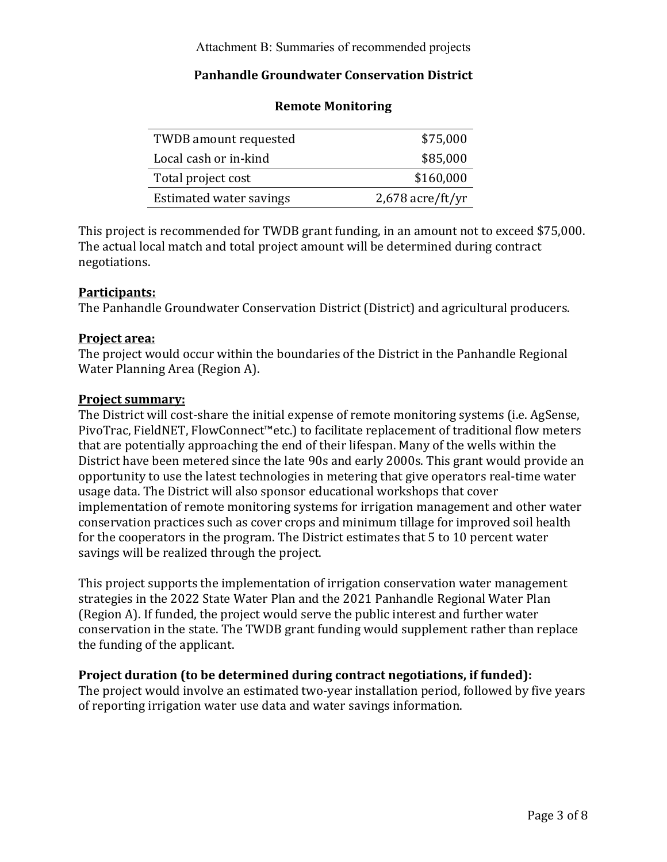## **Panhandle Groundwater Conservation District**

| <b>TWDB</b> amount requested | \$75,000           |
|------------------------------|--------------------|
| Local cash or in-kind        | \$85,000           |
| Total project cost           | \$160,000          |
| Estimated water savings      | $2,678$ acre/ft/yr |

### **Remote Monitoring**

This project is recommended for TWDB grant funding, in an amount not to exceed \$75,000. The actual local match and total project amount will be determined during contract negotiations.

### **Participants:**

The Panhandle Groundwater Conservation District (District) and agricultural producers.

### **Project area:**

The project would occur within the boundaries of the District in the Panhandle Regional Water Planning Area (Region A).

#### **Project summary:**

The District will cost-share the initial expense of remote monitoring systems (i.e. AgSense, PivoTrac, FieldNET, FlowConnect™etc.) to facilitate replacement of traditional flow meters that are potentially approaching the end of their lifespan. Many of the wells within the District have been metered since the late 90s and early 2000s. This grant would provide an opportunity to use the latest technologies in metering that give operators real-time water usage data. The District will also sponsor educational workshops that cover implementation of remote monitoring systems for irrigation management and other water conservation practices such as cover crops and minimum tillage for improved soil health for the cooperators in the program. The District estimates that 5 to 10 percent water savings will be realized through the project.

This project supports the implementation of irrigation conservation water management strategies in the 2022 State Water Plan and the 2021 Panhandle Regional Water Plan (Region A). If funded, the project would serve the public interest and further water conservation in the state. The TWDB grant funding would supplement rather than replace the funding of the applicant.

### **Project duration (to be determined during contract negotiations, if funded):**

The project would involve an estimated two-year installation period, followed by five years of reporting irrigation water use data and water savings information.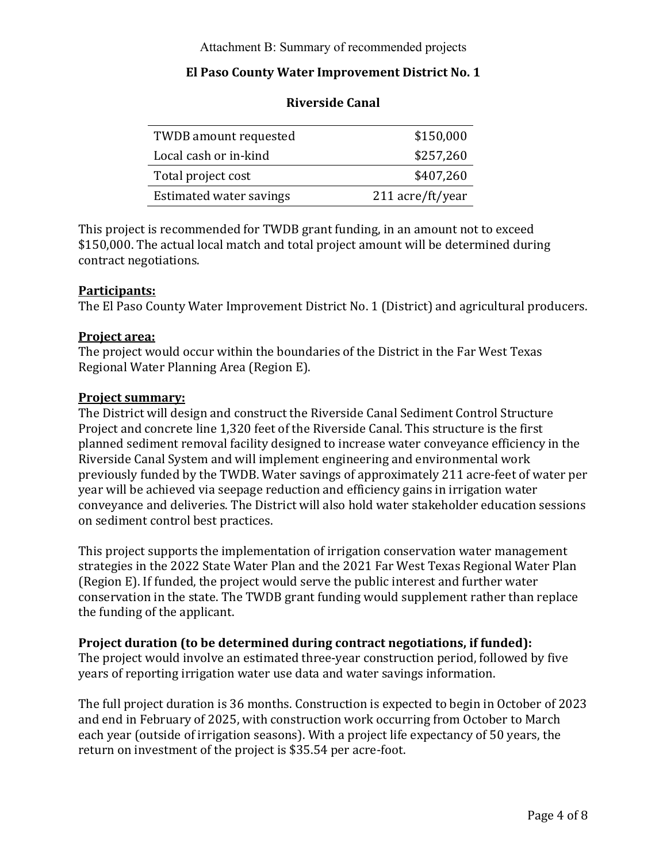### **El Paso County Water Improvement District No. 1**

| <b>TWDB</b> amount requested | \$150,000        |
|------------------------------|------------------|
| Local cash or in-kind        | \$257,260        |
| Total project cost           | \$407,260        |
| Estimated water savings      | 211 acre/ft/year |

### **Riverside Canal**

This project is recommended for TWDB grant funding, in an amount not to exceed \$150,000. The actual local match and total project amount will be determined during contract negotiations.

### **Participants:**

The El Paso County Water Improvement District No. 1 (District) and agricultural producers.

#### **Project area:**

The project would occur within the boundaries of the District in the Far West Texas Regional Water Planning Area (Region E).

#### **Project summary:**

The District will design and construct the Riverside Canal Sediment Control Structure Project and concrete line 1,320 feet of the Riverside Canal. This structure is the first planned sediment removal facility designed to increase water conveyance efficiency in the Riverside Canal System and will implement engineering and environmental work previously funded by the TWDB. Water savings of approximately 211 acre-feet of water per year will be achieved via seepage reduction and efficiency gains in irrigation water conveyance and deliveries. The District will also hold water stakeholder education sessions on sediment control best practices.

This project supports the implementation of irrigation conservation water management strategies in the 2022 State Water Plan and the 2021 Far West Texas Regional Water Plan (Region E). If funded, the project would serve the public interest and further water conservation in the state. The TWDB grant funding would supplement rather than replace the funding of the applicant.

#### **Project duration (to be determined during contract negotiations, if funded):**

The project would involve an estimated three-year construction period, followed by five years of reporting irrigation water use data and water savings information.

The full project duration is 36 months. Construction is expected to begin in October of 2023 and end in February of 2025, with construction work occurring from October to March each year (outside of irrigation seasons). With a project life expectancy of 50 years, the return on investment of the project is \$35.54 per acre-foot.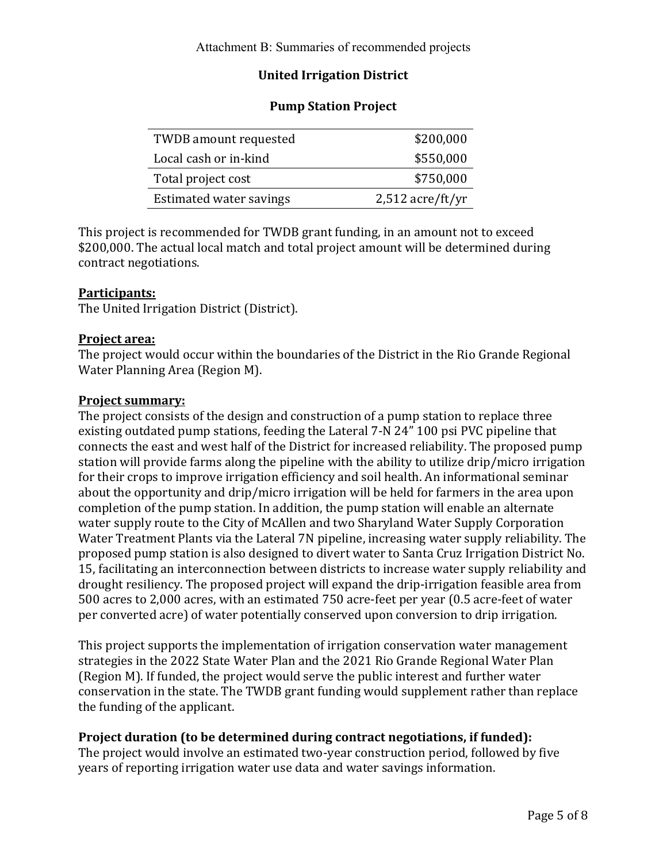# **United Irrigation District**

### **Pump Station Project**

| TWDB amount requested   | \$200,000          |
|-------------------------|--------------------|
| Local cash or in-kind   | \$550,000          |
| Total project cost      | \$750,000          |
| Estimated water savings | $2,512$ acre/ft/yr |

This project is recommended for TWDB grant funding, in an amount not to exceed \$200,000. The actual local match and total project amount will be determined during contract negotiations.

### **Participants:**

The United Irrigation District (District).

### **Project area:**

The project would occur within the boundaries of the District in the Rio Grande Regional Water Planning Area (Region M).

#### **Project summary:**

The project consists of the design and construction of a pump station to replace three existing outdated pump stations, feeding the Lateral 7-N 24" 100 psi PVC pipeline that connects the east and west half of the District for increased reliability. The proposed pump station will provide farms along the pipeline with the ability to utilize drip/micro irrigation for their crops to improve irrigation efficiency and soil health. An informational seminar about the opportunity and drip/micro irrigation will be held for farmers in the area upon completion of the pump station. In addition, the pump station will enable an alternate water supply route to the City of McAllen and two Sharyland Water Supply Corporation Water Treatment Plants via the Lateral 7N pipeline, increasing water supply reliability. The proposed pump station is also designed to divert water to Santa Cruz Irrigation District No. 15, facilitating an interconnection between districts to increase water supply reliability and drought resiliency. The proposed project will expand the drip-irrigation feasible area from 500 acres to 2,000 acres, with an estimated 750 acre-feet per year (0.5 acre-feet of water per converted acre) of water potentially conserved upon conversion to drip irrigation.

This project supports the implementation of irrigation conservation water management strategies in the 2022 State Water Plan and the 2021 Rio Grande Regional Water Plan (Region M). If funded, the project would serve the public interest and further water conservation in the state. The TWDB grant funding would supplement rather than replace the funding of the applicant.

### **Project duration (to be determined during contract negotiations, if funded):**

The project would involve an estimated two-year construction period, followed by five years of reporting irrigation water use data and water savings information.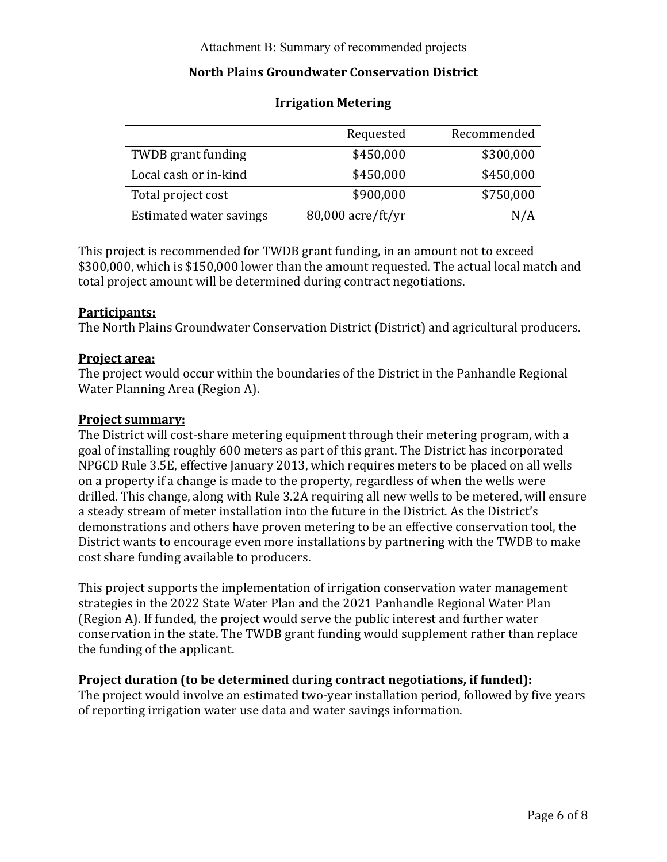### **North Plains Groundwater Conservation District**

|                                | Requested         | Recommended |
|--------------------------------|-------------------|-------------|
| TWDB grant funding             | \$450,000         | \$300,000   |
| Local cash or in-kind          | \$450,000         | \$450,000   |
| Total project cost             | \$900,000         | \$750,000   |
| <b>Estimated water savings</b> | 80,000 acre/ft/yr | N/A         |

### **Irrigation Metering**

This project is recommended for TWDB grant funding, in an amount not to exceed \$300,000, which is \$150,000 lower than the amount requested. The actual local match and total project amount will be determined during contract negotiations.

#### **Participants:**

The North Plains Groundwater Conservation District (District) and agricultural producers.

#### **Project area:**

The project would occur within the boundaries of the District in the Panhandle Regional Water Planning Area (Region A).

#### **Project summary:**

The District will cost-share metering equipment through their metering program, with a goal of installing roughly 600 meters as part of this grant. The District has incorporated NPGCD Rule 3.5E, effective January 2013, which requires meters to be placed on all wells on a property if a change is made to the property, regardless of when the wells were drilled. This change, along with Rule 3.2A requiring all new wells to be metered, will ensure a steady stream of meter installation into the future in the District. As the District's demonstrations and others have proven metering to be an effective conservation tool, the District wants to encourage even more installations by partnering with the TWDB to make cost share funding available to producers.

This project supports the implementation of irrigation conservation water management strategies in the 2022 State Water Plan and the 2021 Panhandle Regional Water Plan (Region A). If funded, the project would serve the public interest and further water conservation in the state. The TWDB grant funding would supplement rather than replace the funding of the applicant.

#### **Project duration (to be determined during contract negotiations, if funded):**

The project would involve an estimated two-year installation period, followed by five years of reporting irrigation water use data and water savings information.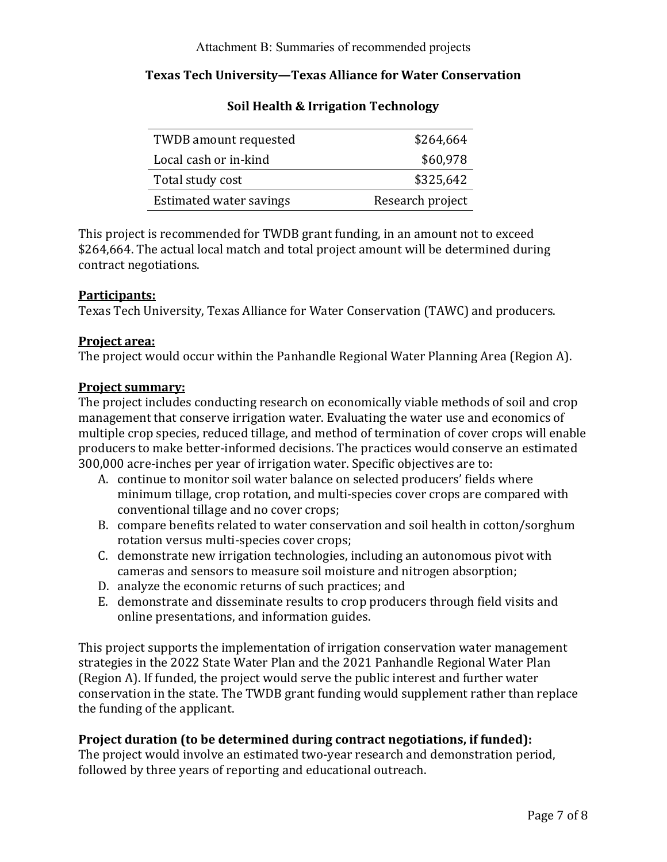## **Texas Tech University—Texas Alliance for Water Conservation**

| TWDB amount requested   | \$264,664        |
|-------------------------|------------------|
| Local cash or in-kind   | \$60,978         |
| Total study cost        | \$325,642        |
| Estimated water savings | Research project |

## **Soil Health & Irrigation Technology**

This project is recommended for TWDB grant funding, in an amount not to exceed \$264,664. The actual local match and total project amount will be determined during contract negotiations.

### **Participants:**

Texas Tech University, Texas Alliance for Water Conservation (TAWC) and producers.

### **Project area:**

The project would occur within the Panhandle Regional Water Planning Area (Region A).

#### **Project summary:**

The project includes conducting research on economically viable methods of soil and crop management that conserve irrigation water. Evaluating the water use and economics of multiple crop species, reduced tillage, and method of termination of cover crops will enable producers to make better-informed decisions. The practices would conserve an estimated 300,000 acre-inches per year of irrigation water. Specific objectives are to:

- A. continue to monitor soil water balance on selected producers' fields where minimum tillage, crop rotation, and multi-species cover crops are compared with conventional tillage and no cover crops;
- B. compare benefits related to water conservation and soil health in cotton/sorghum rotation versus multi-species cover crops;
- C. demonstrate new irrigation technologies, including an autonomous pivot with cameras and sensors to measure soil moisture and nitrogen absorption;
- D. analyze the economic returns of such practices; and
- E. demonstrate and disseminate results to crop producers through field visits and online presentations, and information guides.

This project supports the implementation of irrigation conservation water management strategies in the 2022 State Water Plan and the 2021 Panhandle Regional Water Plan (Region A). If funded, the project would serve the public interest and further water conservation in the state. The TWDB grant funding would supplement rather than replace the funding of the applicant.

### **Project duration (to be determined during contract negotiations, if funded):**

The project would involve an estimated two-year research and demonstration period, followed by three years of reporting and educational outreach.